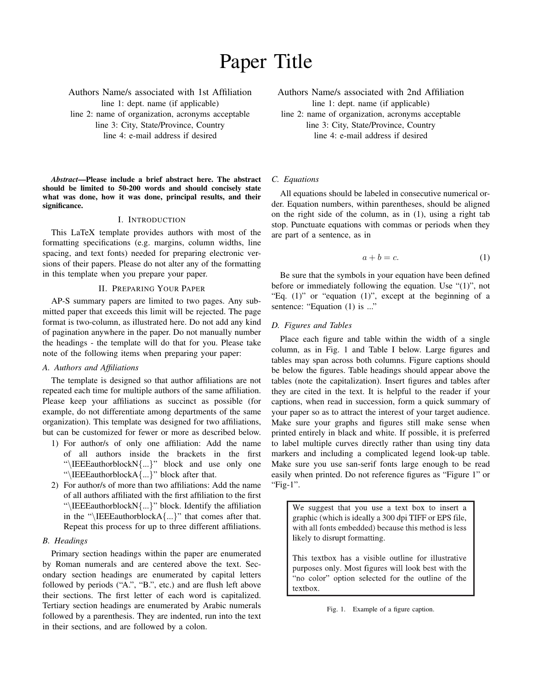# Paper Title

Authors Name/s associated with 1st Affiliation line 1: dept. name (if applicable) line 2: name of organization, acronyms acceptable line 3: City, State/Province, Country

line 4: e-mail address if desired

*Abstract*—Please include a brief abstract here. The abstract should be limited to 50-200 words and should concisely state what was done, how it was done, principal results, and their significance.

#### I. INTRODUCTION

This LaTeX template provides authors with most of the formatting specifications (e.g. margins, column widths, line spacing, and text fonts) needed for preparing electronic versions of their papers. Please do not alter any of the formatting in this template when you prepare your paper.

# II. PREPARING YOUR PAPER

AP-S summary papers are limited to two pages. Any submitted paper that exceeds this limit will be rejected. The page format is two-column, as illustrated here. Do not add any kind of pagination anywhere in the paper. Do not manually number the headings - the template will do that for you. Please take note of the following items when preparing your paper:

# *A. Authors and Affiliations*

The template is designed so that author affiliations are not repeated each time for multiple authors of the same affiliation. Please keep your affiliations as succinct as possible (for example, do not differentiate among departments of the same organization). This template was designed for two affiliations, but can be customized for fewer or more as described below.

- 1) For author/s of only one affiliation: Add the name of all authors inside the brackets in the first "\IEEEauthorblockN{...}" block and use only one "\IEEEauthorblockA{...}" block after that.
- 2) For author/s of more than two affiliations: Add the name of all authors affiliated with the first affiliation to the first "\IEEEauthorblockN{...}" block. Identify the affiliation in the " $\IEEE \authorblockA{...}$ " that comes after that. Repeat this process for up to three different affiliations.

#### *B. Headings*

Primary section headings within the paper are enumerated by Roman numerals and are centered above the text. Secondary section headings are enumerated by capital letters followed by periods ("A.", "B.", etc.) and are flush left above their sections. The first letter of each word is capitalized. Tertiary section headings are enumerated by Arabic numerals followed by a parenthesis. They are indented, run into the text in their sections, and are followed by a colon.

Authors Name/s associated with 2nd Affiliation line 1: dept. name (if applicable)

line 2: name of organization, acronyms acceptable line 3: City, State/Province, Country line 4: e-mail address if desired

# *C. Equations*

All equations should be labeled in consecutive numerical order. Equation numbers, within parentheses, should be aligned on the right side of the column, as in (1), using a right tab stop. Punctuate equations with commas or periods when they are part of a sentence, as in

$$
a + b = c.\t\t(1)
$$

Be sure that the symbols in your equation have been defined before or immediately following the equation. Use "(1)", not "Eq. (1)" or "equation (1)", except at the beginning of a sentence: "Equation (1) is ..."

### *D. Figures and Tables*

Place each figure and table within the width of a single column, as in Fig. 1 and Table I below. Large figures and tables may span across both columns. Figure captions should be below the figures. Table headings should appear above the tables (note the capitalization). Insert figures and tables after they are cited in the text. It is helpful to the reader if your captions, when read in succession, form a quick summary of your paper so as to attract the interest of your target audience. Make sure your graphs and figures still make sense when printed entirely in black and white. If possible, it is preferred to label multiple curves directly rather than using tiny data markers and including a complicated legend look-up table. Make sure you use san-serif fonts large enough to be read easily when printed. Do not reference figures as "Figure 1" or "Fig-1".

We suggest that you use a text box to insert a graphic (which is ideally a 300 dpi TIFF or EPS file, with all fonts embedded) because this method is less likely to disrupt formatting.

This textbox has a visible outline for illustrative purposes only. Most figures will look best with the "no color" option selected for the outline of the textbox.

Fig. 1. Example of a figure caption.